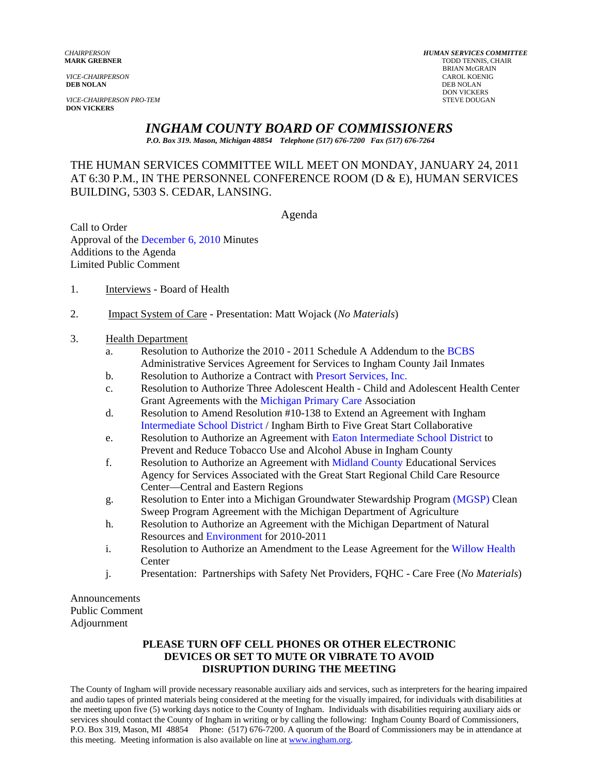**DEB NOLAN** DEB NOLAN

**VICE-CHAIRPERSON PRO-TEM** STEVE DOUGAN **DON VICKERS** 

*CHAIRPERSON HUMAN SERVICES COMMITTEE* TODD TENNIS, CHAIR BRIAN McGRAIN *VICE-CHAIRPERSON* CAROL KOENIG **DON VICKERS** 

# *INGHAM COUNTY BOARD OF COMMISSIONERS*

*P.O. Box 319. Mason, Michigan 48854 Telephone (517) 676-7200 Fax (517) 676-7264*

## THE HUMAN SERVICES COMMITTEE WILL MEET ON MONDAY, JANUARY 24, 2011 AT 6:30 P.M., IN THE PERSONNEL CONFERENCE ROOM (D & E), HUMAN SERVICES BUILDING, 5303 S. CEDAR, LANSING.

Agenda

Call to Order Approval of t[he December 6, 2010 Minutes](#page-1-0)  Additions to the Agenda Limited Public Comment

- 1. Interviews Board of Health
- 2. Impact System of Care Presentation: Matt Wojack (*No Materials*)

#### 3. Health Department

- a. Resolution to Authorize the 2010 2011 Schedule A Addendum to the BCBS Administrative Services Agreement for Services to Ingham Count[y Jail Inmates](#page-4-0)
- b. Resolution to Authorize a Contract wi[th Presort Services, Inc.](#page-7-0)
- c. Resolution to Authorize Three Adolescent Health Child and Adolescent Health Center Grant Agreements with [the Michigan Primary Care Ass](#page-10-0)ociation
- d. Resolution to Amend Resolution #10-138 to Extend an Agreement with Ingham Intermediate School District / Ingham Birth to Five Great Start Collaborative
- e. [Resolution to Authorize an Ag](#page-13-0)reement wit[h Eaton Intermediate School District to](#page-16-0)  Prevent and Reduce Tobacco Use and Alcohol Abuse in Ingham County
- f. Resolution to Authorize an Agreement [with Midland County Education](#page-19-0)al Services Agency for Services Associated with the Great Start Regional Child Care Resource Center—Central and Eastern Regions
- g. Resolution to Enter into a Michigan Groundwater Stewardship Progr[am \(MGSP\) Clean](#page-24-0)  Sweep Program Agreement with the Michigan Department of Agriculture
- h. Resolution to Authorize an Agreement with the Michigan Department of Natural Resources a[nd Environment for 201](#page-27-0)0-2011
- i. Resolution to Authorize an Amendment to the Lease Agreement for [the Willow Health](#page-30-0) Center
- j. Presentation: Partnerships with Safety Net Providers, FQHC Care Free (*No Materials*)

Announcements Public Comment Adjournment

#### **PLEASE TURN OFF CELL PHONES OR OTHER ELECTRONIC DEVICES OR SET TO MUTE OR VIBRATE TO AVOID DISRUPTION DURING THE MEETING**

The County of Ingham will provide necessary reasonable auxiliary aids and services, such as interpreters for the hearing impaired and audio tapes of printed materials being considered at the meeting for the visually impaired, for individuals with disabilities at the meeting upon five (5) working days notice to the County of Ingham. Individuals with disabilities requiring auxiliary aids or services should contact the County of Ingham in writing or by calling the following: Ingham County Board of Commissioners, P.O. Box 319, Mason, MI 48854 Phone: (517) 676-7200. A quorum of the Board of Commissioners may be in attendance at this meeting. Meeting information is also available on line at www.ingham.org.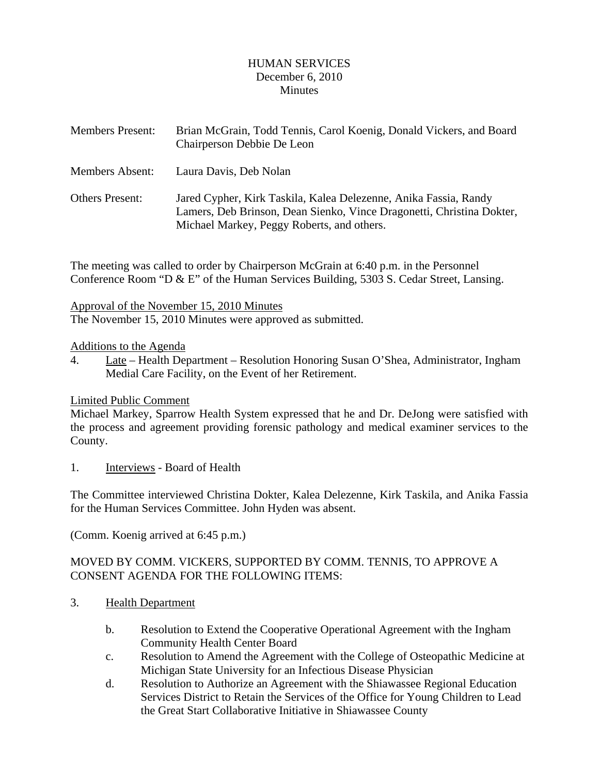## HUMAN SERVICES December 6, 2010 **Minutes**

<span id="page-1-0"></span>

| <b>Members Present:</b> | Brian McGrain, Todd Tennis, Carol Koenig, Donald Vickers, and Board<br>Chairperson Debbie De Leon                                                                                       |
|-------------------------|-----------------------------------------------------------------------------------------------------------------------------------------------------------------------------------------|
| Members Absent:         | Laura Davis, Deb Nolan                                                                                                                                                                  |
| <b>Others Present:</b>  | Jared Cypher, Kirk Taskila, Kalea Delezenne, Anika Fassia, Randy<br>Lamers, Deb Brinson, Dean Sienko, Vince Dragonetti, Christina Dokter,<br>Michael Markey, Peggy Roberts, and others. |

The meeting was called to order by Chairperson McGrain at 6:40 p.m. in the Personnel Conference Room "D & E" of the Human Services Building, 5303 S. Cedar Street, Lansing.

Approval of the November 15, 2010 Minutes The November 15, 2010 Minutes were approved as submitted.

Additions to the Agenda

4. Late – Health Department – Resolution Honoring Susan O'Shea, Administrator, Ingham Medial Care Facility, on the Event of her Retirement.

# Limited Public Comment

Michael Markey, Sparrow Health System expressed that he and Dr. DeJong were satisfied with the process and agreement providing forensic pathology and medical examiner services to the County.

1. Interviews - Board of Health

The Committee interviewed Christina Dokter, Kalea Delezenne, Kirk Taskila, and Anika Fassia for the Human Services Committee. John Hyden was absent.

(Comm. Koenig arrived at 6:45 p.m.)

# MOVED BY COMM. VICKERS, SUPPORTED BY COMM. TENNIS, TO APPROVE A CONSENT AGENDA FOR THE FOLLOWING ITEMS:

- 3. Health Department
	- b. Resolution to Extend the Cooperative Operational Agreement with the Ingham Community Health Center Board
	- c. Resolution to Amend the Agreement with the College of Osteopathic Medicine at Michigan State University for an Infectious Disease Physician
	- d. Resolution to Authorize an Agreement with the Shiawassee Regional Education Services District to Retain the Services of the Office for Young Children to Lead the Great Start Collaborative Initiative in Shiawassee County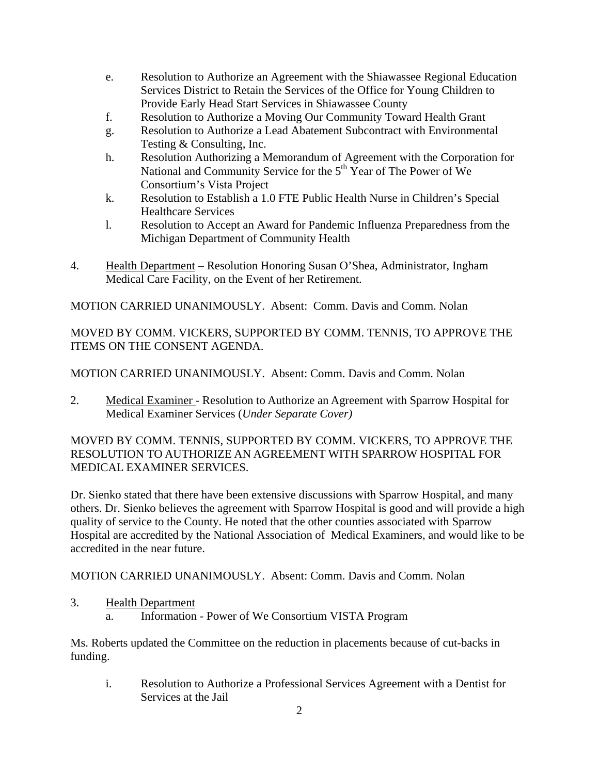- e. Resolution to Authorize an Agreement with the Shiawassee Regional Education Services District to Retain the Services of the Office for Young Children to Provide Early Head Start Services in Shiawassee County
- f. Resolution to Authorize a Moving Our Community Toward Health Grant
- g. Resolution to Authorize a Lead Abatement Subcontract with Environmental Testing & Consulting, Inc.
- h. Resolution Authorizing a Memorandum of Agreement with the Corporation for National and Community Service for the  $5<sup>th</sup>$  Year of The Power of We Consortium's Vista Project
- k. Resolution to Establish a 1.0 FTE Public Health Nurse in Children's Special Healthcare Services
- l. Resolution to Accept an Award for Pandemic Influenza Preparedness from the Michigan Department of Community Health
- 4. Health Department Resolution Honoring Susan O'Shea, Administrator, Ingham Medical Care Facility, on the Event of her Retirement.

MOTION CARRIED UNANIMOUSLY. Absent: Comm. Davis and Comm. Nolan

MOVED BY COMM. VICKERS, SUPPORTED BY COMM. TENNIS, TO APPROVE THE ITEMS ON THE CONSENT AGENDA.

MOTION CARRIED UNANIMOUSLY. Absent: Comm. Davis and Comm. Nolan

2. Medical Examiner - Resolution to Authorize an Agreement with Sparrow Hospital for Medical Examiner Services (*Under Separate Cover)* 

MOVED BY COMM. TENNIS, SUPPORTED BY COMM. VICKERS, TO APPROVE THE RESOLUTION TO AUTHORIZE AN AGREEMENT WITH SPARROW HOSPITAL FOR MEDICAL EXAMINER SERVICES.

Dr. Sienko stated that there have been extensive discussions with Sparrow Hospital, and many others. Dr. Sienko believes the agreement with Sparrow Hospital is good and will provide a high quality of service to the County. He noted that the other counties associated with Sparrow Hospital are accredited by the National Association of Medical Examiners, and would like to be accredited in the near future.

MOTION CARRIED UNANIMOUSLY. Absent: Comm. Davis and Comm. Nolan

- 3. Health Department
	- a. Information Power of We Consortium VISTA Program

Ms. Roberts updated the Committee on the reduction in placements because of cut-backs in funding.

i. Resolution to Authorize a Professional Services Agreement with a Dentist for Services at the Jail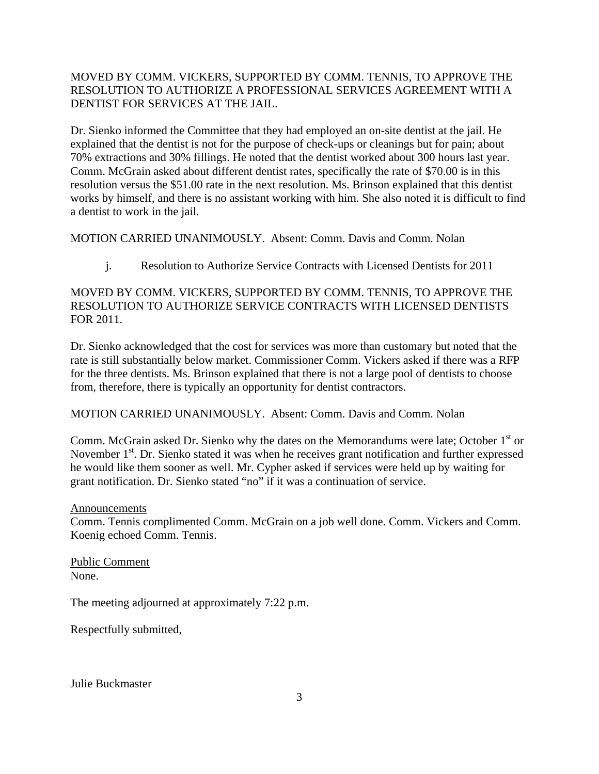# MOVED BY COMM. VICKERS, SUPPORTED BY COMM. TENNIS, TO APPROVE THE RESOLUTION TO AUTHORIZE A PROFESSIONAL SERVICES AGREEMENT WITH A DENTIST FOR SERVICES AT THE JAIL.

Dr. Sienko informed the Committee that they had employed an on-site dentist at the jail. He explained that the dentist is not for the purpose of check-ups or cleanings but for pain; about 70% extractions and 30% fillings. He noted that the dentist worked about 300 hours last year. Comm. McGrain asked about different dentist rates, specifically the rate of \$70.00 is in this resolution versus the \$51.00 rate in the next resolution. Ms. Brinson explained that this dentist works by himself, and there is no assistant working with him. She also noted it is difficult to find a dentist to work in the jail.

MOTION CARRIED UNANIMOUSLY. Absent: Comm. Davis and Comm. Nolan

j. Resolution to Authorize Service Contracts with Licensed Dentists for 2011

# MOVED BY COMM. VICKERS, SUPPORTED BY COMM. TENNIS, TO APPROVE THE RESOLUTION TO AUTHORIZE SERVICE CONTRACTS WITH LICENSED DENTISTS FOR 2011.

Dr. Sienko acknowledged that the cost for services was more than customary but noted that the rate is still substantially below market. Commissioner Comm. Vickers asked if there was a RFP for the three dentists. Ms. Brinson explained that there is not a large pool of dentists to choose from, therefore, there is typically an opportunity for dentist contractors.

## MOTION CARRIED UNANIMOUSLY. Absent: Comm. Davis and Comm. Nolan

Comm. McGrain asked Dr. Sienko why the dates on the Memorandums were late; October 1<sup>st</sup> or November 1<sup>st</sup>. Dr. Sienko stated it was when he receives grant notification and further expressed he would like them sooner as well. Mr. Cypher asked if services were held up by waiting for grant notification. Dr. Sienko stated "no" if it was a continuation of service.

### Announcements

Comm. Tennis complimented Comm. McGrain on a job well done. Comm. Vickers and Comm. Koenig echoed Comm. Tennis.

Public Comment None.

The meeting adjourned at approximately 7:22 p.m.

Respectfully submitted,

Julie Buckmaster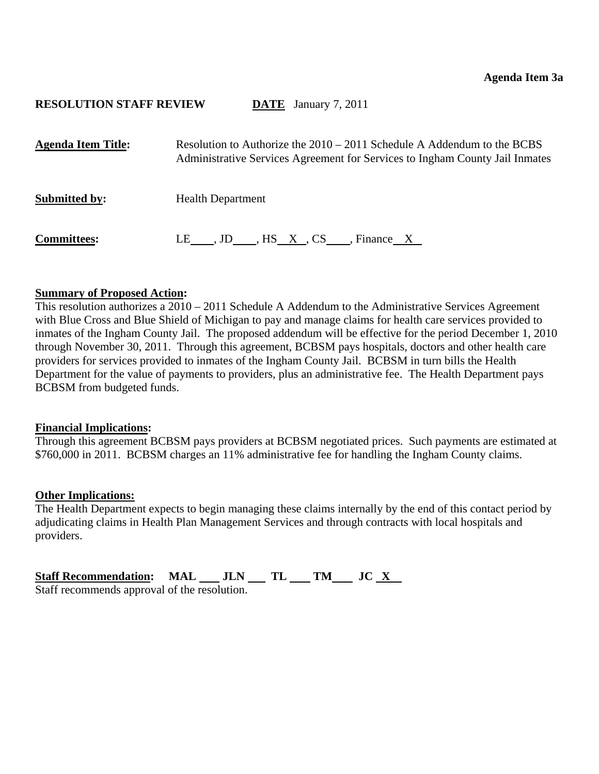<span id="page-4-0"></span>

| <b>Agenda Item Title:</b> | Resolution to Authorize the $2010 - 2011$ Schedule A Addendum to the BCBS<br>Administrative Services Agreement for Services to Ingham County Jail Inmates |
|---------------------------|-----------------------------------------------------------------------------------------------------------------------------------------------------------|
| <b>Submitted by:</b>      | <b>Health Department</b>                                                                                                                                  |
| <b>Committees:</b>        | LE , JD , HS X, CS , Finance X                                                                                                                            |

### **Summary of Proposed Action:**

This resolution authorizes a 2010 – 2011 Schedule A Addendum to the Administrative Services Agreement with Blue Cross and Blue Shield of Michigan to pay and manage claims for health care services provided to inmates of the Ingham County Jail. The proposed addendum will be effective for the period December 1, 2010 through November 30, 2011. Through this agreement, BCBSM pays hospitals, doctors and other health care providers for services provided to inmates of the Ingham County Jail. BCBSM in turn bills the Health Department for the value of payments to providers, plus an administrative fee. The Health Department pays BCBSM from budgeted funds.

### **Financial Implications:**

Through this agreement BCBSM pays providers at BCBSM negotiated prices. Such payments are estimated at \$760,000 in 2011. BCBSM charges an 11% administrative fee for handling the Ingham County claims.

### **Other Implications:**

The Health Department expects to begin managing these claims internally by the end of this contact period by adjudicating claims in Health Plan Management Services and through contracts with local hospitals and providers.

| <b>Staff Recommendation: MAL</b>             | JLN TL | TM JC X |  |
|----------------------------------------------|--------|---------|--|
| Staff recommends approval of the resolution. |        |         |  |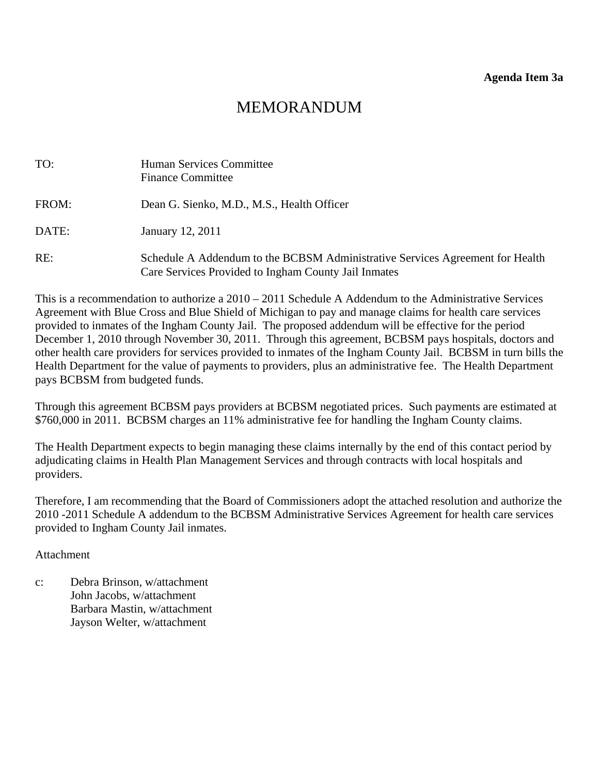| TO:   | Human Services Committee<br><b>Finance Committee</b>                                                                                  |
|-------|---------------------------------------------------------------------------------------------------------------------------------------|
| FROM: | Dean G. Sienko, M.D., M.S., Health Officer                                                                                            |
| DATE: | January 12, 2011                                                                                                                      |
| RE:   | Schedule A Addendum to the BCBSM Administrative Services Agreement for Health<br>Care Services Provided to Ingham County Jail Inmates |

This is a recommendation to authorize a  $2010 - 2011$  Schedule A Addendum to the Administrative Services Agreement with Blue Cross and Blue Shield of Michigan to pay and manage claims for health care services provided to inmates of the Ingham County Jail. The proposed addendum will be effective for the period December 1, 2010 through November 30, 2011. Through this agreement, BCBSM pays hospitals, doctors and other health care providers for services provided to inmates of the Ingham County Jail. BCBSM in turn bills the Health Department for the value of payments to providers, plus an administrative fee. The Health Department pays BCBSM from budgeted funds.

Through this agreement BCBSM pays providers at BCBSM negotiated prices. Such payments are estimated at \$760,000 in 2011. BCBSM charges an 11% administrative fee for handling the Ingham County claims.

The Health Department expects to begin managing these claims internally by the end of this contact period by adjudicating claims in Health Plan Management Services and through contracts with local hospitals and providers.

Therefore, I am recommending that the Board of Commissioners adopt the attached resolution and authorize the 2010 -2011 Schedule A addendum to the BCBSM Administrative Services Agreement for health care services provided to Ingham County Jail inmates.

## Attachment

c: Debra Brinson, w/attachment John Jacobs, w/attachment Barbara Mastin, w/attachment Jayson Welter, w/attachment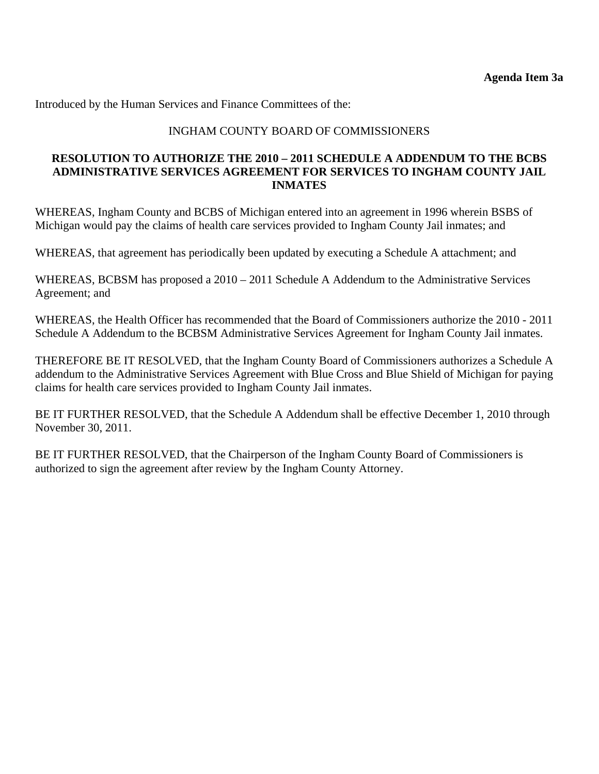# INGHAM COUNTY BOARD OF COMMISSIONERS

## **RESOLUTION TO AUTHORIZE THE 2010 – 2011 SCHEDULE A ADDENDUM TO THE BCBS ADMINISTRATIVE SERVICES AGREEMENT FOR SERVICES TO INGHAM COUNTY JAIL INMATES**

WHEREAS, Ingham County and BCBS of Michigan entered into an agreement in 1996 wherein BSBS of Michigan would pay the claims of health care services provided to Ingham County Jail inmates; and

WHEREAS, that agreement has periodically been updated by executing a Schedule A attachment; and

WHEREAS, BCBSM has proposed a 2010 – 2011 Schedule A Addendum to the Administrative Services Agreement; and

WHEREAS, the Health Officer has recommended that the Board of Commissioners authorize the 2010 - 2011 Schedule A Addendum to the BCBSM Administrative Services Agreement for Ingham County Jail inmates.

THEREFORE BE IT RESOLVED, that the Ingham County Board of Commissioners authorizes a Schedule A addendum to the Administrative Services Agreement with Blue Cross and Blue Shield of Michigan for paying claims for health care services provided to Ingham County Jail inmates.

BE IT FURTHER RESOLVED, that the Schedule A Addendum shall be effective December 1, 2010 through November 30, 2011.

BE IT FURTHER RESOLVED, that the Chairperson of the Ingham County Board of Commissioners is authorized to sign the agreement after review by the Ingham County Attorney.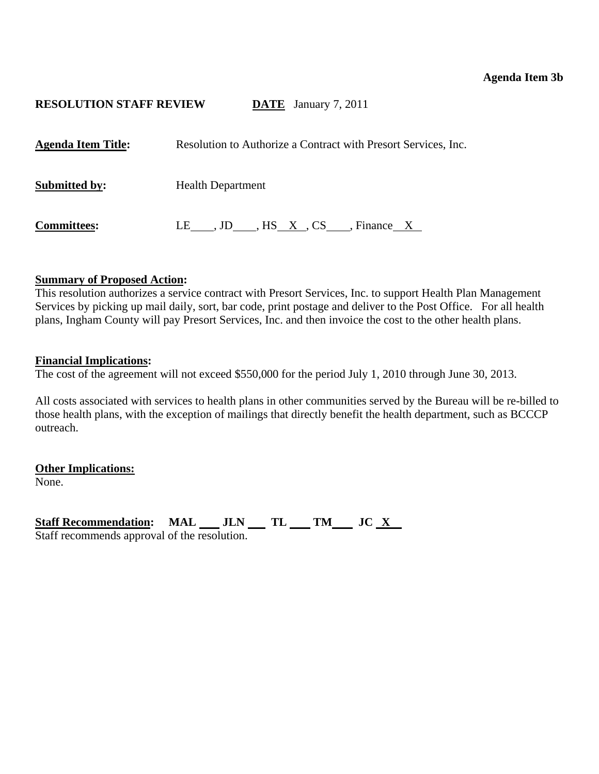## **Agenda Item 3b**

# <span id="page-7-0"></span>**RESOLUTION STAFF REVIEW DATE** January 7, 2011

| <b>Agenda Item Title:</b> | Resolution to Authorize a Contract with Presort Services, Inc. |
|---------------------------|----------------------------------------------------------------|
| <b>Submitted by:</b>      | <b>Health Department</b>                                       |
| <b>Committees:</b>        | LE , JD , HS X, CS , Finance X                                 |

### **Summary of Proposed Action:**

This resolution authorizes a service contract with Presort Services, Inc. to support Health Plan Management Services by picking up mail daily, sort, bar code, print postage and deliver to the Post Office. For all health plans, Ingham County will pay Presort Services, Inc. and then invoice the cost to the other health plans.

### **Financial Implications:**

The cost of the agreement will not exceed \$550,000 for the period July 1, 2010 through June 30, 2013.

All costs associated with services to health plans in other communities served by the Bureau will be re-billed to those health plans, with the exception of mailings that directly benefit the health department, such as BCCCP outreach.

**Other Implications:**

None.

Staff Recommendation: MAL JLN TL TM JC X Staff recommends approval of the resolution.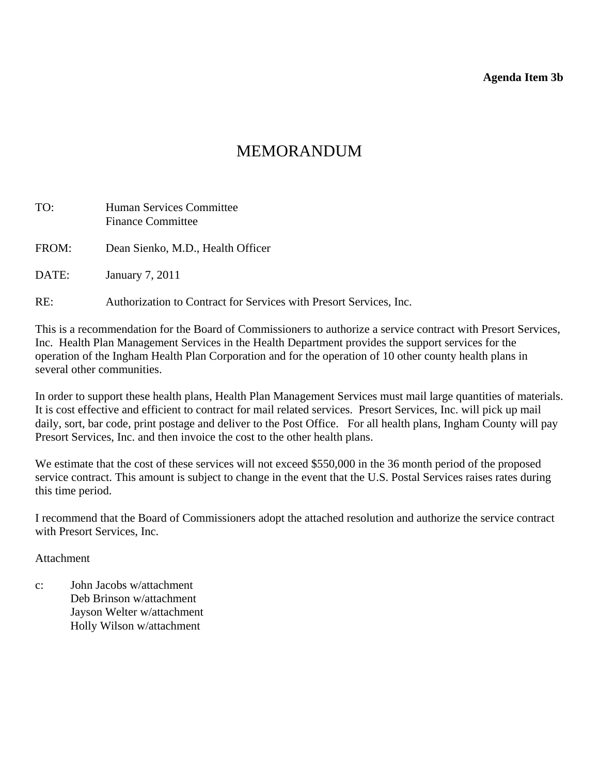**Agenda Item 3b** 

# MEMORANDUM

| TO:   | <b>Human Services Committee</b><br><b>Finance Committee</b>        |
|-------|--------------------------------------------------------------------|
| FROM: | Dean Sienko, M.D., Health Officer                                  |
| DATE: | January 7, 2011                                                    |
| RE:   | Authorization to Contract for Services with Presort Services, Inc. |

This is a recommendation for the Board of Commissioners to authorize a service contract with Presort Services, Inc. Health Plan Management Services in the Health Department provides the support services for the operation of the Ingham Health Plan Corporation and for the operation of 10 other county health plans in several other communities.

In order to support these health plans, Health Plan Management Services must mail large quantities of materials. It is cost effective and efficient to contract for mail related services. Presort Services, Inc. will pick up mail daily, sort, bar code, print postage and deliver to the Post Office. For all health plans, Ingham County will pay Presort Services, Inc. and then invoice the cost to the other health plans.

We estimate that the cost of these services will not exceed \$550,000 in the 36 month period of the proposed service contract. This amount is subject to change in the event that the U.S. Postal Services raises rates during this time period.

I recommend that the Board of Commissioners adopt the attached resolution and authorize the service contract with Presort Services, Inc.

## Attachment

c: John Jacobs w/attachment Deb Brinson w/attachment Jayson Welter w/attachment Holly Wilson w/attachment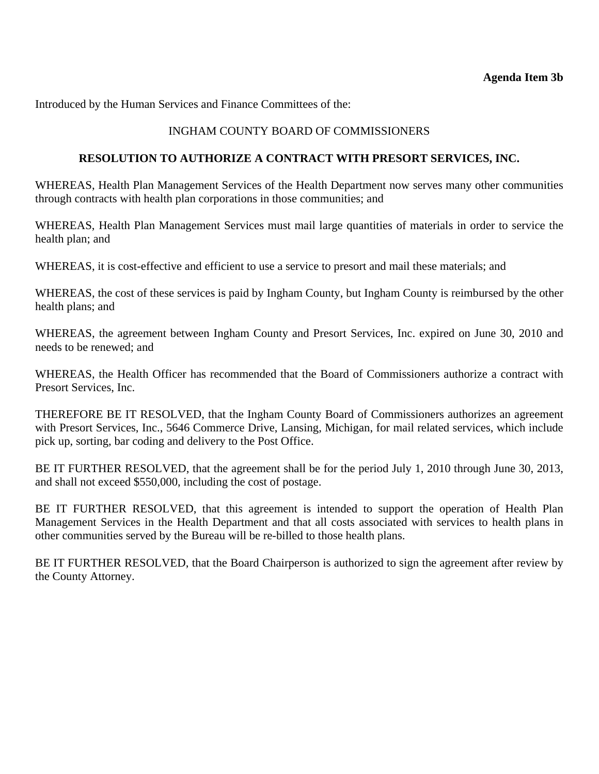# INGHAM COUNTY BOARD OF COMMISSIONERS

## **RESOLUTION TO AUTHORIZE A CONTRACT WITH PRESORT SERVICES, INC.**

WHEREAS, Health Plan Management Services of the Health Department now serves many other communities through contracts with health plan corporations in those communities; and

WHEREAS, Health Plan Management Services must mail large quantities of materials in order to service the health plan; and

WHEREAS, it is cost-effective and efficient to use a service to presort and mail these materials; and

WHEREAS, the cost of these services is paid by Ingham County, but Ingham County is reimbursed by the other health plans; and

WHEREAS, the agreement between Ingham County and Presort Services, Inc. expired on June 30, 2010 and needs to be renewed; and

WHEREAS, the Health Officer has recommended that the Board of Commissioners authorize a contract with Presort Services, Inc.

THEREFORE BE IT RESOLVED, that the Ingham County Board of Commissioners authorizes an agreement with Presort Services, Inc., 5646 Commerce Drive, Lansing, Michigan, for mail related services, which include pick up, sorting, bar coding and delivery to the Post Office.

BE IT FURTHER RESOLVED, that the agreement shall be for the period July 1, 2010 through June 30, 2013, and shall not exceed \$550,000, including the cost of postage.

BE IT FURTHER RESOLVED, that this agreement is intended to support the operation of Health Plan Management Services in the Health Department and that all costs associated with services to health plans in other communities served by the Bureau will be re-billed to those health plans.

BE IT FURTHER RESOLVED, that the Board Chairperson is authorized to sign the agreement after review by the County Attorney.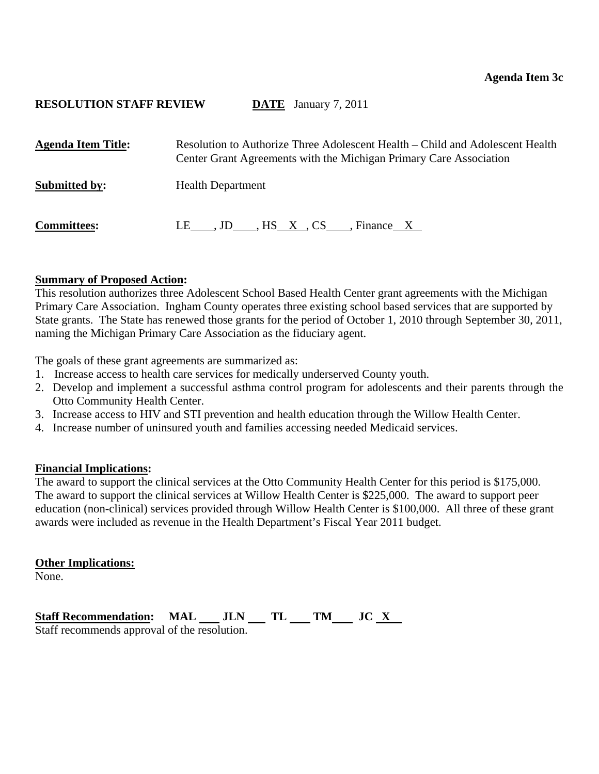<span id="page-10-0"></span>

| <b>Agenda Item Title:</b> | Resolution to Authorize Three Adolescent Health – Child and Adolescent Health<br>Center Grant Agreements with the Michigan Primary Care Association |
|---------------------------|-----------------------------------------------------------------------------------------------------------------------------------------------------|
| <b>Submitted by:</b>      | <b>Health Department</b>                                                                                                                            |
| <b>Committees:</b>        | LE , JD , HS X, CS , Finance X                                                                                                                      |

### **Summary of Proposed Action:**

This resolution authorizes three Adolescent School Based Health Center grant agreements with the Michigan Primary Care Association. Ingham County operates three existing school based services that are supported by State grants. The State has renewed those grants for the period of October 1, 2010 through September 30, 2011, naming the Michigan Primary Care Association as the fiduciary agent.

The goals of these grant agreements are summarized as:

- 1. Increase access to health care services for medically underserved County youth.
- 2. Develop and implement a successful asthma control program for adolescents and their parents through the Otto Community Health Center.
- 3. Increase access to HIV and STI prevention and health education through the Willow Health Center.
- 4. Increase number of uninsured youth and families accessing needed Medicaid services.

## **Financial Implications:**

The award to support the clinical services at the Otto Community Health Center for this period is \$175,000. The award to support the clinical services at Willow Health Center is \$225,000. The award to support peer education (non-clinical) services provided through Willow Health Center is \$100,000. All three of these grant awards were included as revenue in the Health Department's Fiscal Year 2011 budget.

### **Other Implications:**

None.

Staff Recommendation: MAL \_\_ JLN \_\_ TL \_\_ TM \_\_ JC <u>X</u> Staff recommends approval of the resolution.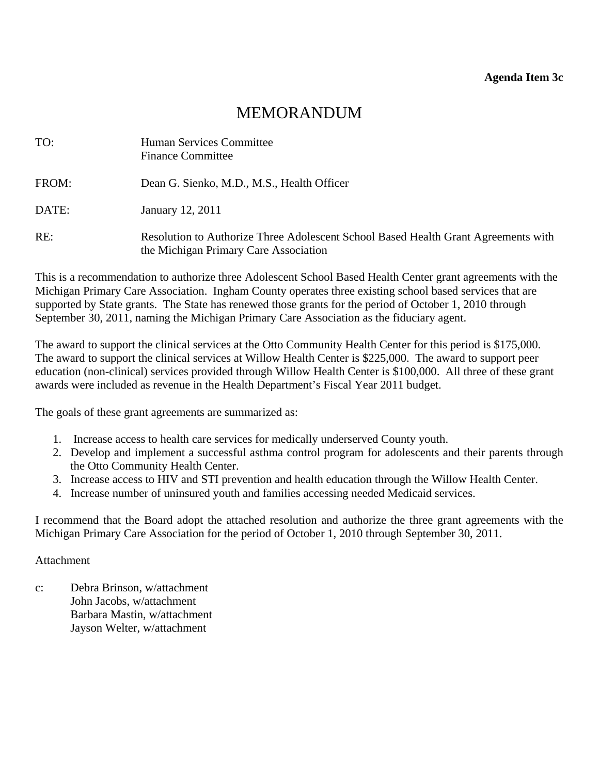| TO:   | Human Services Committee<br><b>Finance Committee</b>                                                                        |
|-------|-----------------------------------------------------------------------------------------------------------------------------|
| FROM: | Dean G. Sienko, M.D., M.S., Health Officer                                                                                  |
| DATE: | January 12, 2011                                                                                                            |
| RE:   | Resolution to Authorize Three Adolescent School Based Health Grant Agreements with<br>the Michigan Primary Care Association |

This is a recommendation to authorize three Adolescent School Based Health Center grant agreements with the Michigan Primary Care Association. Ingham County operates three existing school based services that are supported by State grants. The State has renewed those grants for the period of October 1, 2010 through September 30, 2011, naming the Michigan Primary Care Association as the fiduciary agent.

The award to support the clinical services at the Otto Community Health Center for this period is \$175,000. The award to support the clinical services at Willow Health Center is \$225,000. The award to support peer education (non-clinical) services provided through Willow Health Center is \$100,000. All three of these grant awards were included as revenue in the Health Department's Fiscal Year 2011 budget.

The goals of these grant agreements are summarized as:

- 1. Increase access to health care services for medically underserved County youth.
- 2. Develop and implement a successful asthma control program for adolescents and their parents through the Otto Community Health Center.
- 3. Increase access to HIV and STI prevention and health education through the Willow Health Center.
- 4. Increase number of uninsured youth and families accessing needed Medicaid services.

I recommend that the Board adopt the attached resolution and authorize the three grant agreements with the Michigan Primary Care Association for the period of October 1, 2010 through September 30, 2011.

### **Attachment**

c: Debra Brinson, w/attachment John Jacobs, w/attachment Barbara Mastin, w/attachment Jayson Welter, w/attachment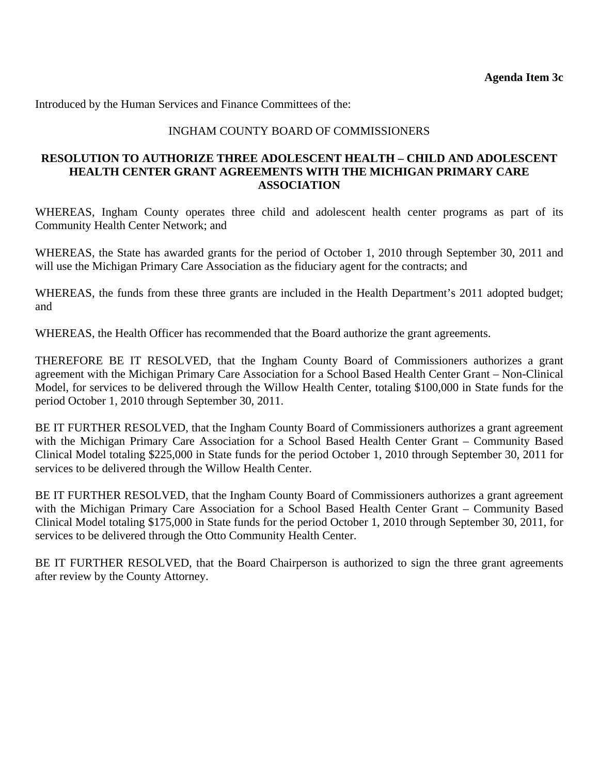## INGHAM COUNTY BOARD OF COMMISSIONERS

## **RESOLUTION TO AUTHORIZE THREE ADOLESCENT HEALTH – CHILD AND ADOLESCENT HEALTH CENTER GRANT AGREEMENTS WITH THE MICHIGAN PRIMARY CARE ASSOCIATION**

WHEREAS, Ingham County operates three child and adolescent health center programs as part of its Community Health Center Network; and

WHEREAS, the State has awarded grants for the period of October 1, 2010 through September 30, 2011 and will use the Michigan Primary Care Association as the fiduciary agent for the contracts; and

WHEREAS, the funds from these three grants are included in the Health Department's 2011 adopted budget; and

WHEREAS, the Health Officer has recommended that the Board authorize the grant agreements.

THEREFORE BE IT RESOLVED, that the Ingham County Board of Commissioners authorizes a grant agreement with the Michigan Primary Care Association for a School Based Health Center Grant – Non-Clinical Model, for services to be delivered through the Willow Health Center, totaling \$100,000 in State funds for the period October 1, 2010 through September 30, 2011.

BE IT FURTHER RESOLVED, that the Ingham County Board of Commissioners authorizes a grant agreement with the Michigan Primary Care Association for a School Based Health Center Grant – Community Based Clinical Model totaling \$225,000 in State funds for the period October 1, 2010 through September 30, 2011 for services to be delivered through the Willow Health Center.

BE IT FURTHER RESOLVED, that the Ingham County Board of Commissioners authorizes a grant agreement with the Michigan Primary Care Association for a School Based Health Center Grant – Community Based Clinical Model totaling \$175,000 in State funds for the period October 1, 2010 through September 30, 2011, for services to be delivered through the Otto Community Health Center.

BE IT FURTHER RESOLVED, that the Board Chairperson is authorized to sign the three grant agreements after review by the County Attorney.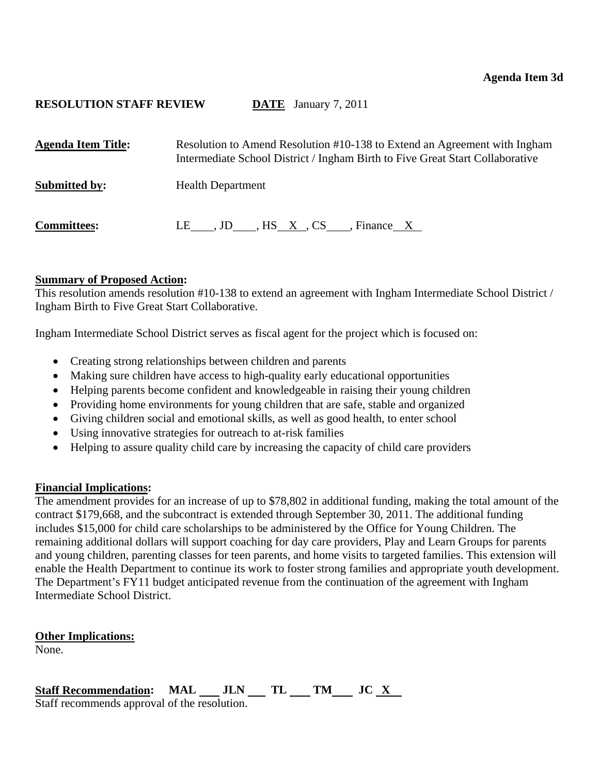<span id="page-13-0"></span>

| <b>Agenda Item Title:</b> | Resolution to Amend Resolution #10-138 to Extend an Agreement with Ingham<br>Intermediate School District / Ingham Birth to Five Great Start Collaborative |
|---------------------------|------------------------------------------------------------------------------------------------------------------------------------------------------------|
| <b>Submitted by:</b>      | <b>Health Department</b>                                                                                                                                   |
| <b>Committees:</b>        | LE , JD , HS X , CS ____, Finance $X$                                                                                                                      |

## **Summary of Proposed Action:**

This resolution amends resolution #10-138 to extend an agreement with Ingham Intermediate School District / Ingham Birth to Five Great Start Collaborative.

Ingham Intermediate School District serves as fiscal agent for the project which is focused on:

- Creating strong relationships between children and parents
- Making sure children have access to high-quality early educational opportunities
- Helping parents become confident and knowledgeable in raising their young children
- Providing home environments for young children that are safe, stable and organized
- Giving children social and emotional skills, as well as good health, to enter school
- Using innovative strategies for outreach to at-risk families
- Helping to assure quality child care by increasing the capacity of child care providers

## **Financial Implications:**

The amendment provides for an increase of up to \$78,802 in additional funding, making the total amount of the contract \$179,668, and the subcontract is extended through September 30, 2011. The additional funding includes \$15,000 for child care scholarships to be administered by the Office for Young Children. The remaining additional dollars will support coaching for day care providers, Play and Learn Groups for parents and young children, parenting classes for teen parents, and home visits to targeted families. This extension will enable the Health Department to continue its work to foster strong families and appropriate youth development. The Department's FY11 budget anticipated revenue from the continuation of the agreement with Ingham Intermediate School District.

**Other Implications:**

None.

Staff Recommendation: MAL JLN TL TM JC X Staff recommends approval of the resolution.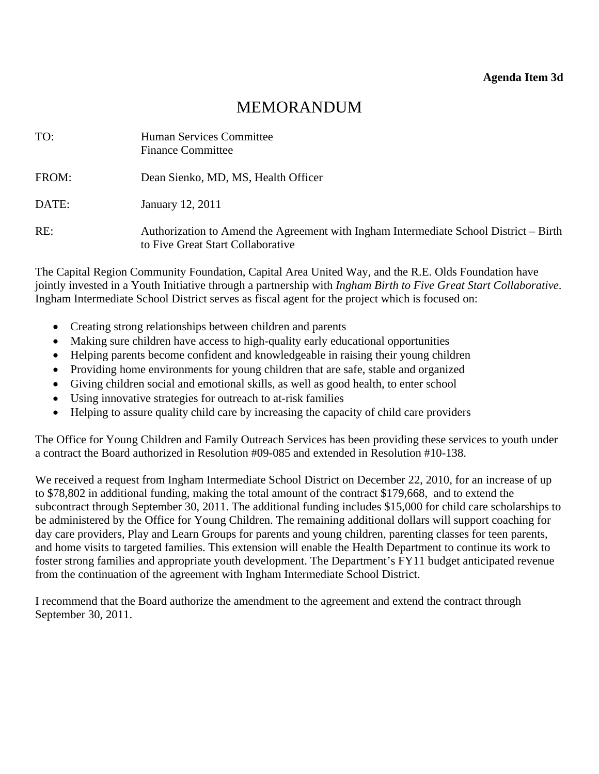| TO:   | Human Services Committee<br><b>Finance Committee</b>                                                                       |
|-------|----------------------------------------------------------------------------------------------------------------------------|
| FROM: | Dean Sienko, MD, MS, Health Officer                                                                                        |
| DATE: | January 12, 2011                                                                                                           |
| RE:   | Authorization to Amend the Agreement with Ingham Intermediate School District – Birth<br>to Five Great Start Collaborative |

The Capital Region Community Foundation, Capital Area United Way, and the R.E. Olds Foundation have jointly invested in a Youth Initiative through a partnership with *Ingham Birth to Five Great Start Collaborative*. Ingham Intermediate School District serves as fiscal agent for the project which is focused on:

- Creating strong relationships between children and parents
- Making sure children have access to high-quality early educational opportunities
- Helping parents become confident and knowledgeable in raising their young children
- Providing home environments for young children that are safe, stable and organized
- Giving children social and emotional skills, as well as good health, to enter school
- Using innovative strategies for outreach to at-risk families
- Helping to assure quality child care by increasing the capacity of child care providers

The Office for Young Children and Family Outreach Services has been providing these services to youth under a contract the Board authorized in Resolution #09-085 and extended in Resolution #10-138.

We received a request from Ingham Intermediate School District on December 22, 2010, for an increase of up to \$78,802 in additional funding, making the total amount of the contract \$179,668, and to extend the subcontract through September 30, 2011. The additional funding includes \$15,000 for child care scholarships to be administered by the Office for Young Children. The remaining additional dollars will support coaching for day care providers, Play and Learn Groups for parents and young children, parenting classes for teen parents, and home visits to targeted families. This extension will enable the Health Department to continue its work to foster strong families and appropriate youth development. The Department's FY11 budget anticipated revenue from the continuation of the agreement with Ingham Intermediate School District.

I recommend that the Board authorize the amendment to the agreement and extend the contract through September 30, 2011.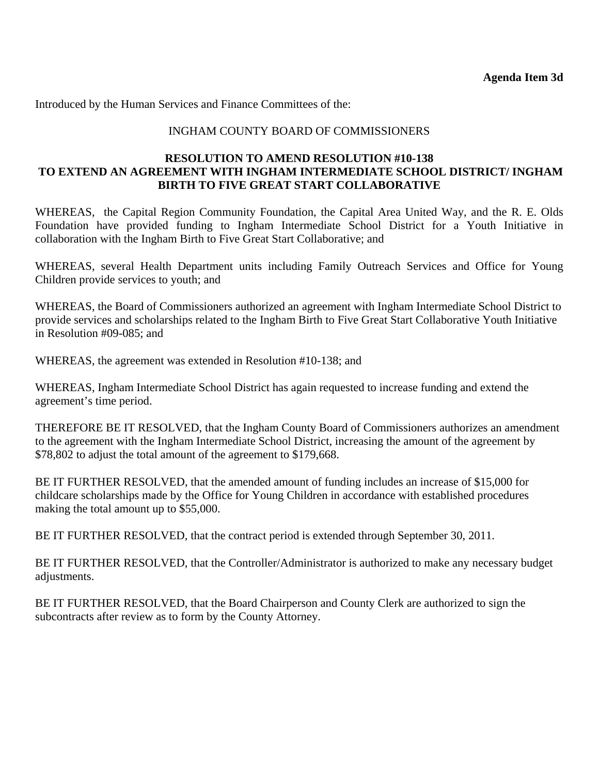# INGHAM COUNTY BOARD OF COMMISSIONERS

## **RESOLUTION TO AMEND RESOLUTION #10-138 TO EXTEND AN AGREEMENT WITH INGHAM INTERMEDIATE SCHOOL DISTRICT/ INGHAM BIRTH TO FIVE GREAT START COLLABORATIVE**

WHEREAS, the Capital Region Community Foundation, the Capital Area United Way, and the R. E. Olds Foundation have provided funding to Ingham Intermediate School District for a Youth Initiative in collaboration with the Ingham Birth to Five Great Start Collaborative; and

WHEREAS, several Health Department units including Family Outreach Services and Office for Young Children provide services to youth; and

WHEREAS, the Board of Commissioners authorized an agreement with Ingham Intermediate School District to provide services and scholarships related to the Ingham Birth to Five Great Start Collaborative Youth Initiative in Resolution #09-085; and

WHEREAS, the agreement was extended in Resolution #10-138; and

WHEREAS, Ingham Intermediate School District has again requested to increase funding and extend the agreement's time period.

THEREFORE BE IT RESOLVED, that the Ingham County Board of Commissioners authorizes an amendment to the agreement with the Ingham Intermediate School District, increasing the amount of the agreement by \$78,802 to adjust the total amount of the agreement to \$179,668.

BE IT FURTHER RESOLVED, that the amended amount of funding includes an increase of \$15,000 for childcare scholarships made by the Office for Young Children in accordance with established procedures making the total amount up to \$55,000.

BE IT FURTHER RESOLVED, that the contract period is extended through September 30, 2011.

BE IT FURTHER RESOLVED, that the Controller/Administrator is authorized to make any necessary budget adjustments.

BE IT FURTHER RESOLVED, that the Board Chairperson and County Clerk are authorized to sign the subcontracts after review as to form by the County Attorney.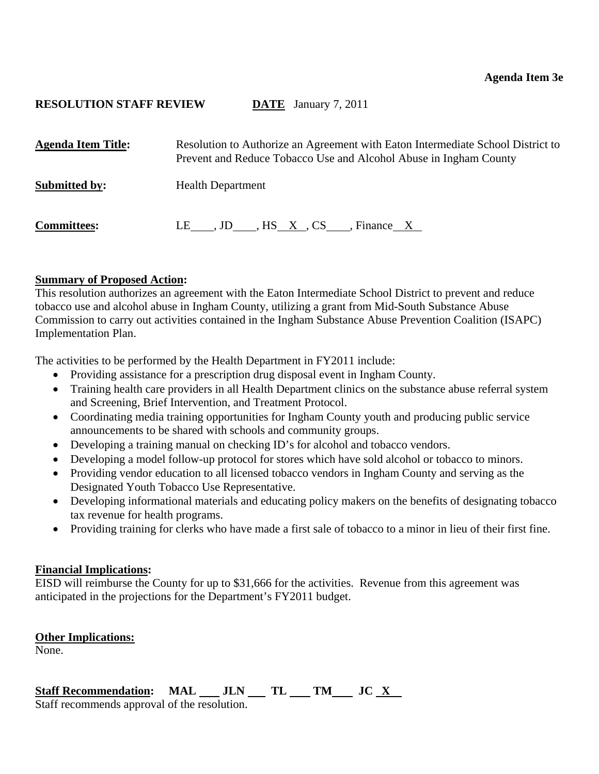<span id="page-16-0"></span>

| <b>Agenda Item Title:</b> | Resolution to Authorize an Agreement with Eaton Intermediate School District to<br>Prevent and Reduce Tobacco Use and Alcohol Abuse in Ingham County |
|---------------------------|------------------------------------------------------------------------------------------------------------------------------------------------------|
| <b>Submitted by:</b>      | <b>Health Department</b>                                                                                                                             |
| <b>Committees:</b>        | LE , JD , HS X, CS , Finance X                                                                                                                       |

## **Summary of Proposed Action:**

This resolution authorizes an agreement with the Eaton Intermediate School District to prevent and reduce tobacco use and alcohol abuse in Ingham County, utilizing a grant from Mid-South Substance Abuse Commission to carry out activities contained in the Ingham Substance Abuse Prevention Coalition (ISAPC) Implementation Plan.

The activities to be performed by the Health Department in FY2011 include:

- Providing assistance for a prescription drug disposal event in Ingham County.
- Training health care providers in all Health Department clinics on the substance abuse referral system and Screening, Brief Intervention, and Treatment Protocol.
- Coordinating media training opportunities for Ingham County youth and producing public service announcements to be shared with schools and community groups.
- Developing a training manual on checking ID's for alcohol and tobacco vendors.
- Developing a model follow-up protocol for stores which have sold alcohol or tobacco to minors.
- Providing vendor education to all licensed tobacco vendors in Ingham County and serving as the Designated Youth Tobacco Use Representative.
- Developing informational materials and educating policy makers on the benefits of designating tobacco tax revenue for health programs.
- Providing training for clerks who have made a first sale of tobacco to a minor in lieu of their first fine.

### **Financial Implications:**

EISD will reimburse the County for up to \$31,666 for the activities. Revenue from this agreement was anticipated in the projections for the Department's FY2011 budget.

### **Other Implications:**

None.

# Staff Recommendation: MAL \_\_ JLN \_\_ TL \_\_ TM \_\_ JC <u>X</u>

Staff recommends approval of the resolution.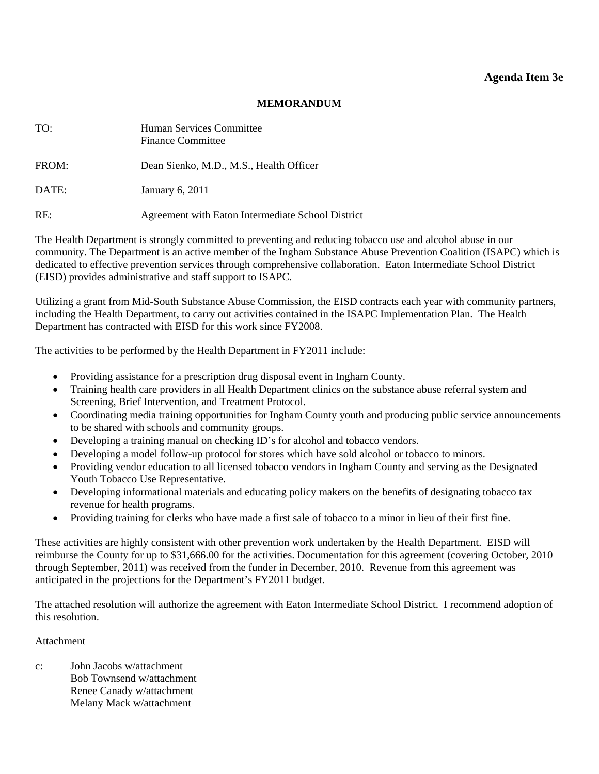### **Agenda Item 3e**

#### **MEMORANDUM**

| TO:   | Human Services Committee<br><b>Finance Committee</b> |
|-------|------------------------------------------------------|
| FROM: | Dean Sienko, M.D., M.S., Health Officer              |
| DATE: | January 6, 2011                                      |
| RE:   | Agreement with Eaton Intermediate School District    |

The Health Department is strongly committed to preventing and reducing tobacco use and alcohol abuse in our community. The Department is an active member of the Ingham Substance Abuse Prevention Coalition (ISAPC) which is dedicated to effective prevention services through comprehensive collaboration. Eaton Intermediate School District (EISD) provides administrative and staff support to ISAPC.

Utilizing a grant from Mid-South Substance Abuse Commission, the EISD contracts each year with community partners, including the Health Department, to carry out activities contained in the ISAPC Implementation Plan. The Health Department has contracted with EISD for this work since FY2008.

The activities to be performed by the Health Department in FY2011 include:

- Providing assistance for a prescription drug disposal event in Ingham County.
- Training health care providers in all Health Department clinics on the substance abuse referral system and Screening, Brief Intervention, and Treatment Protocol.
- Coordinating media training opportunities for Ingham County youth and producing public service announcements to be shared with schools and community groups.
- Developing a training manual on checking ID's for alcohol and tobacco vendors.
- Developing a model follow-up protocol for stores which have sold alcohol or tobacco to minors.
- Providing vendor education to all licensed tobacco vendors in Ingham County and serving as the Designated Youth Tobacco Use Representative.
- Developing informational materials and educating policy makers on the benefits of designating tobacco tax revenue for health programs.
- Providing training for clerks who have made a first sale of tobacco to a minor in lieu of their first fine.

These activities are highly consistent with other prevention work undertaken by the Health Department. EISD will reimburse the County for up to \$31,666.00 for the activities. Documentation for this agreement (covering October, 2010 through September, 2011) was received from the funder in December, 2010. Revenue from this agreement was anticipated in the projections for the Department's FY2011 budget.

The attached resolution will authorize the agreement with Eaton Intermediate School District. I recommend adoption of this resolution.

#### Attachment

c: John Jacobs w/attachment Bob Townsend w/attachment Renee Canady w/attachment Melany Mack w/attachment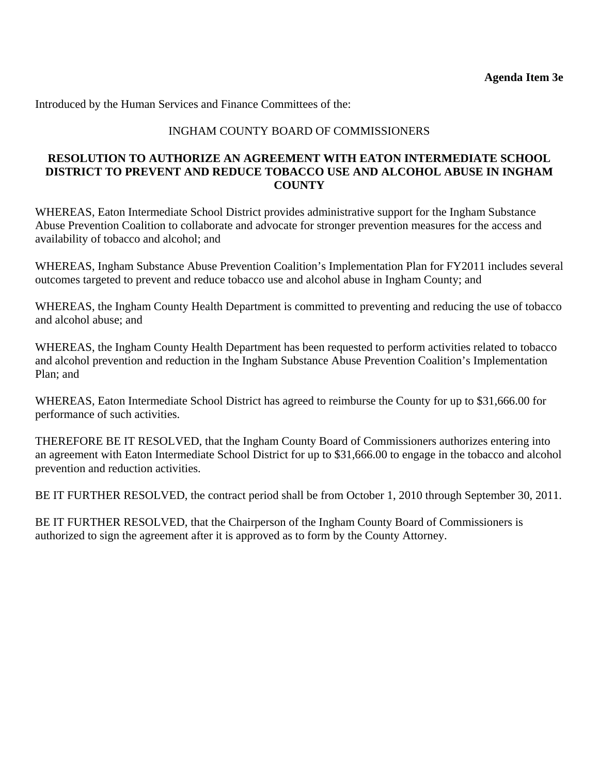# INGHAM COUNTY BOARD OF COMMISSIONERS

# **RESOLUTION TO AUTHORIZE AN AGREEMENT WITH EATON INTERMEDIATE SCHOOL DISTRICT TO PREVENT AND REDUCE TOBACCO USE AND ALCOHOL ABUSE IN INGHAM COUNTY**

WHEREAS, Eaton Intermediate School District provides administrative support for the Ingham Substance Abuse Prevention Coalition to collaborate and advocate for stronger prevention measures for the access and availability of tobacco and alcohol; and

WHEREAS, Ingham Substance Abuse Prevention Coalition's Implementation Plan for FY2011 includes several outcomes targeted to prevent and reduce tobacco use and alcohol abuse in Ingham County; and

WHEREAS, the Ingham County Health Department is committed to preventing and reducing the use of tobacco and alcohol abuse; and

WHEREAS, the Ingham County Health Department has been requested to perform activities related to tobacco and alcohol prevention and reduction in the Ingham Substance Abuse Prevention Coalition's Implementation Plan; and

WHEREAS, Eaton Intermediate School District has agreed to reimburse the County for up to \$31,666.00 for performance of such activities.

THEREFORE BE IT RESOLVED, that the Ingham County Board of Commissioners authorizes entering into an agreement with Eaton Intermediate School District for up to \$31,666.00 to engage in the tobacco and alcohol prevention and reduction activities.

BE IT FURTHER RESOLVED, the contract period shall be from October 1, 2010 through September 30, 2011.

BE IT FURTHER RESOLVED, that the Chairperson of the Ingham County Board of Commissioners is authorized to sign the agreement after it is approved as to form by the County Attorney.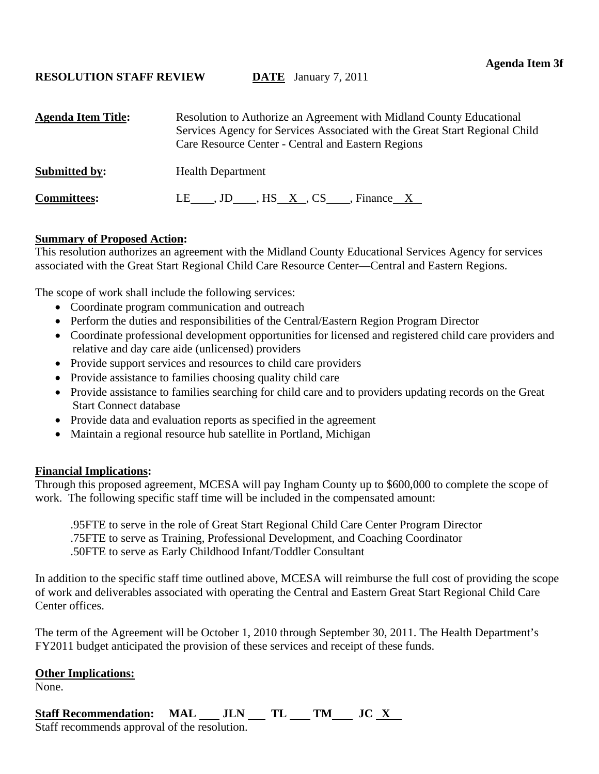<span id="page-19-0"></span>

| <b>Agenda Item Title:</b> | Resolution to Authorize an Agreement with Midland County Educational<br>Services Agency for Services Associated with the Great Start Regional Child<br>Care Resource Center - Central and Eastern Regions |
|---------------------------|-----------------------------------------------------------------------------------------------------------------------------------------------------------------------------------------------------------|
| <b>Submitted by:</b>      | <b>Health Department</b>                                                                                                                                                                                  |
| <b>Committees:</b>        | LE____, JD_____, HS__X__, CS_____, Finance X                                                                                                                                                              |

## **Summary of Proposed Action:**

This resolution authorizes an agreement with the Midland County Educational Services Agency for services associated with the Great Start Regional Child Care Resource Center—Central and Eastern Regions.

The scope of work shall include the following services:

- Coordinate program communication and outreach
- Perform the duties and responsibilities of the Central/Eastern Region Program Director
- Coordinate professional development opportunities for licensed and registered child care providers and relative and day care aide (unlicensed) providers
- Provide support services and resources to child care providers
- Provide assistance to families choosing quality child care
- Provide assistance to families searching for child care and to providers updating records on the Great Start Connect database
- Provide data and evaluation reports as specified in the agreement
- Maintain a regional resource hub satellite in Portland, Michigan

## **Financial Implications:**

Through this proposed agreement, MCESA will pay Ingham County up to \$600,000 to complete the scope of work. The following specific staff time will be included in the compensated amount:

.95FTE to serve in the role of Great Start Regional Child Care Center Program Director .75FTE to serve as Training, Professional Development, and Coaching Coordinator .50FTE to serve as Early Childhood Infant/Toddler Consultant

In addition to the specific staff time outlined above, MCESA will reimburse the full cost of providing the scope of work and deliverables associated with operating the Central and Eastern Great Start Regional Child Care Center offices.

The term of the Agreement will be October 1, 2010 through September 30, 2011. The Health Department's FY2011 budget anticipated the provision of these services and receipt of these funds.

## **Other Implications:**

None.

# Staff Recommendation: MAL JLN TL TM JC X

Staff recommends approval of the resolution.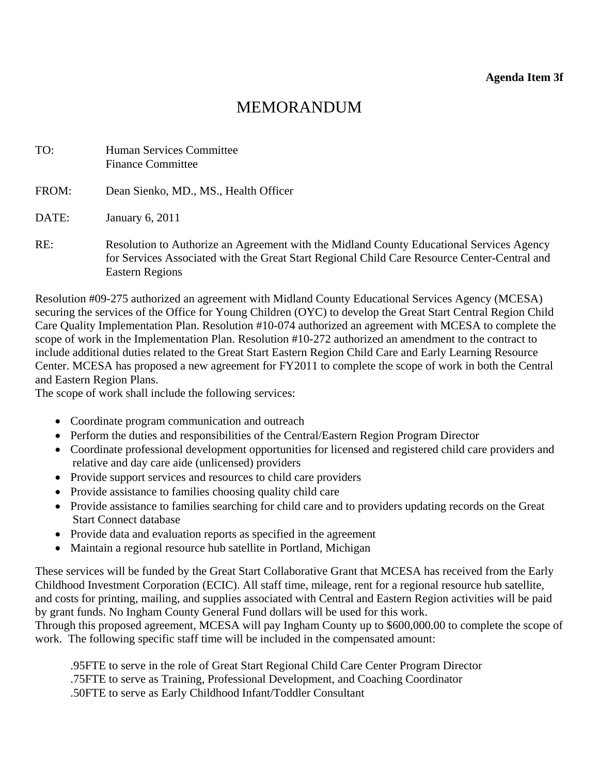| TO:   | Human Services Committee<br><b>Finance Committee</b>                                                                                                                                                        |
|-------|-------------------------------------------------------------------------------------------------------------------------------------------------------------------------------------------------------------|
| FROM: | Dean Sienko, MD., MS., Health Officer                                                                                                                                                                       |
| DATE: | January 6, 2011                                                                                                                                                                                             |
| RE:   | Resolution to Authorize an Agreement with the Midland County Educational Services Agency<br>for Services Associated with the Great Start Regional Child Care Resource Center-Central and<br>Eastern Regions |

Resolution #09-275 authorized an agreement with Midland County Educational Services Agency (MCESA) securing the services of the Office for Young Children (OYC) to develop the Great Start Central Region Child Care Quality Implementation Plan. Resolution #10-074 authorized an agreement with MCESA to complete the scope of work in the Implementation Plan. Resolution #10-272 authorized an amendment to the contract to include additional duties related to the Great Start Eastern Region Child Care and Early Learning Resource Center. MCESA has proposed a new agreement for FY2011 to complete the scope of work in both the Central and Eastern Region Plans.

The scope of work shall include the following services:

- Coordinate program communication and outreach
- Perform the duties and responsibilities of the Central/Eastern Region Program Director
- Coordinate professional development opportunities for licensed and registered child care providers and relative and day care aide (unlicensed) providers
- Provide support services and resources to child care providers
- Provide assistance to families choosing quality child care
- Provide assistance to families searching for child care and to providers updating records on the Great Start Connect database
- Provide data and evaluation reports as specified in the agreement
- Maintain a regional resource hub satellite in Portland, Michigan

These services will be funded by the Great Start Collaborative Grant that MCESA has received from the Early Childhood Investment Corporation (ECIC). All staff time, mileage, rent for a regional resource hub satellite, and costs for printing, mailing, and supplies associated with Central and Eastern Region activities will be paid by grant funds. No Ingham County General Fund dollars will be used for this work.

Through this proposed agreement, MCESA will pay Ingham County up to \$600,000.00 to complete the scope of work. The following specific staff time will be included in the compensated amount:

.95FTE to serve in the role of Great Start Regional Child Care Center Program Director .75FTE to serve as Training, Professional Development, and Coaching Coordinator .50FTE to serve as Early Childhood Infant/Toddler Consultant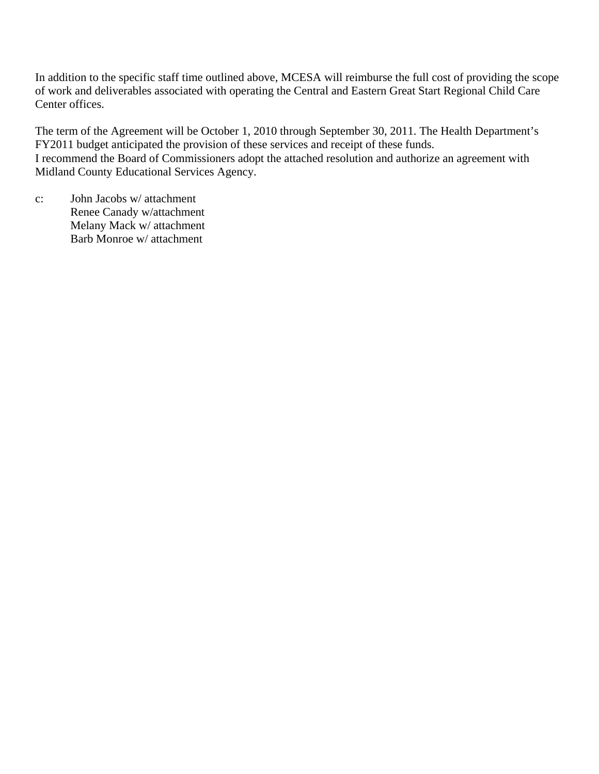In addition to the specific staff time outlined above, MCESA will reimburse the full cost of providing the scope of work and deliverables associated with operating the Central and Eastern Great Start Regional Child Care Center offices.

The term of the Agreement will be October 1, 2010 through September 30, 2011. The Health Department's FY2011 budget anticipated the provision of these services and receipt of these funds. I recommend the Board of Commissioners adopt the attached resolution and authorize an agreement with Midland County Educational Services Agency.

c: John Jacobs w/ attachment Renee Canady w/attachment Melany Mack w/ attachment Barb Monroe w/ attachment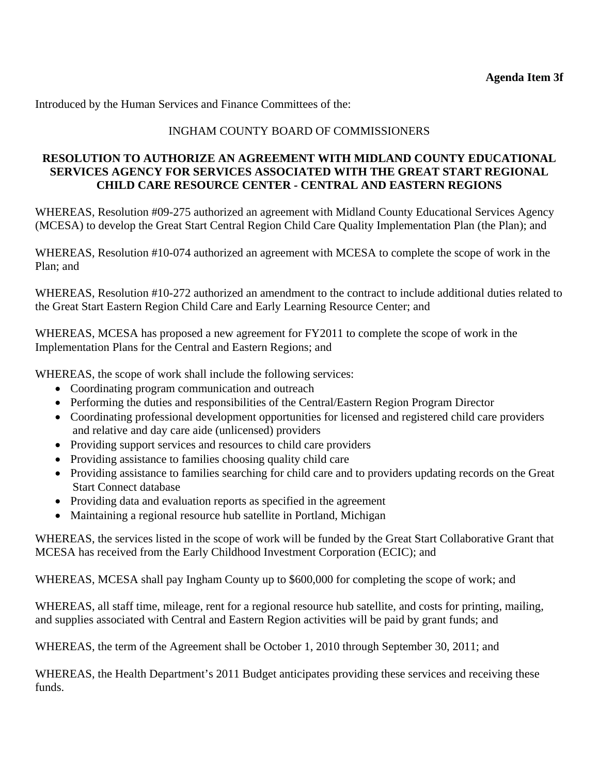# INGHAM COUNTY BOARD OF COMMISSIONERS

# **RESOLUTION TO AUTHORIZE AN AGREEMENT WITH MIDLAND COUNTY EDUCATIONAL SERVICES AGENCY FOR SERVICES ASSOCIATED WITH THE GREAT START REGIONAL CHILD CARE RESOURCE CENTER - CENTRAL AND EASTERN REGIONS**

WHEREAS, Resolution #09-275 authorized an agreement with Midland County Educational Services Agency (MCESA) to develop the Great Start Central Region Child Care Quality Implementation Plan (the Plan); and

WHEREAS, Resolution #10-074 authorized an agreement with MCESA to complete the scope of work in the Plan; and

WHEREAS, Resolution #10-272 authorized an amendment to the contract to include additional duties related to the Great Start Eastern Region Child Care and Early Learning Resource Center; and

WHEREAS, MCESA has proposed a new agreement for FY2011 to complete the scope of work in the Implementation Plans for the Central and Eastern Regions; and

WHEREAS, the scope of work shall include the following services:

- Coordinating program communication and outreach
- Performing the duties and responsibilities of the Central/Eastern Region Program Director
- Coordinating professional development opportunities for licensed and registered child care providers and relative and day care aide (unlicensed) providers
- Providing support services and resources to child care providers
- Providing assistance to families choosing quality child care
- Providing assistance to families searching for child care and to providers updating records on the Great Start Connect database
- Providing data and evaluation reports as specified in the agreement
- Maintaining a regional resource hub satellite in Portland, Michigan

WHEREAS, the services listed in the scope of work will be funded by the Great Start Collaborative Grant that MCESA has received from the Early Childhood Investment Corporation (ECIC); and

WHEREAS, MCESA shall pay Ingham County up to \$600,000 for completing the scope of work; and

WHEREAS, all staff time, mileage, rent for a regional resource hub satellite, and costs for printing, mailing, and supplies associated with Central and Eastern Region activities will be paid by grant funds; and

WHEREAS, the term of the Agreement shall be October 1, 2010 through September 30, 2011; and

WHEREAS, the Health Department's 2011 Budget anticipates providing these services and receiving these funds.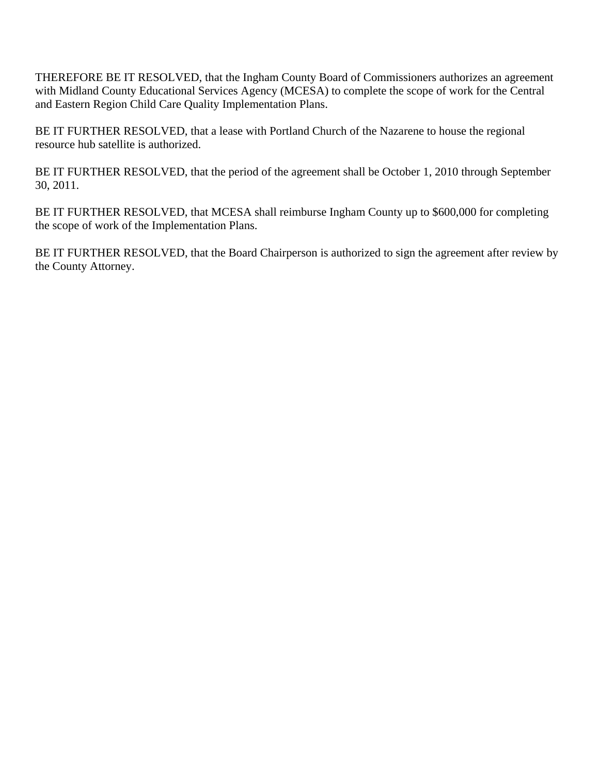THEREFORE BE IT RESOLVED, that the Ingham County Board of Commissioners authorizes an agreement with Midland County Educational Services Agency (MCESA) to complete the scope of work for the Central and Eastern Region Child Care Quality Implementation Plans.

BE IT FURTHER RESOLVED, that a lease with Portland Church of the Nazarene to house the regional resource hub satellite is authorized.

BE IT FURTHER RESOLVED, that the period of the agreement shall be October 1, 2010 through September 30, 2011.

BE IT FURTHER RESOLVED, that MCESA shall reimburse Ingham County up to \$600,000 for completing the scope of work of the Implementation Plans.

BE IT FURTHER RESOLVED, that the Board Chairperson is authorized to sign the agreement after review by the County Attorney.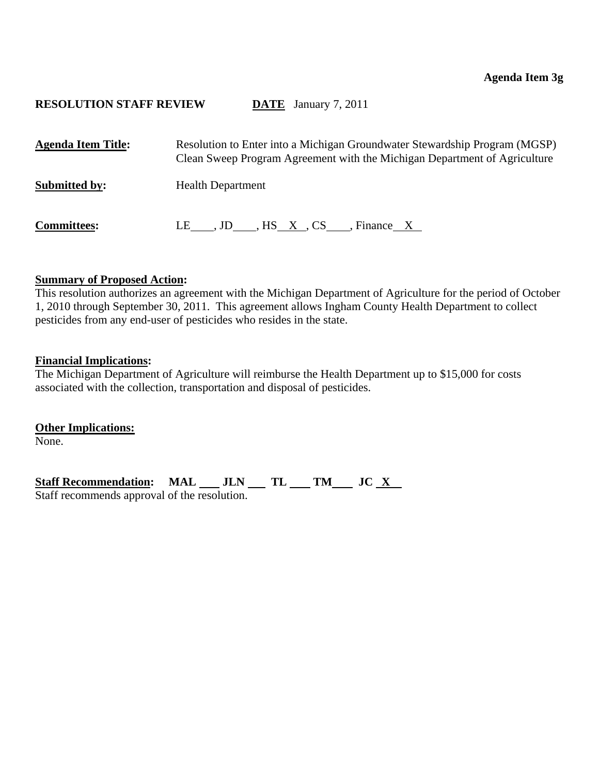<span id="page-24-0"></span>

| <b>Agenda Item Title:</b> | Resolution to Enter into a Michigan Groundwater Stewardship Program (MGSP)<br>Clean Sweep Program Agreement with the Michigan Department of Agriculture |
|---------------------------|---------------------------------------------------------------------------------------------------------------------------------------------------------|
| <b>Submitted by:</b>      | <b>Health Department</b>                                                                                                                                |
| <b>Committees:</b>        | LE , JD , HS X, CS , Finance X                                                                                                                          |

## **Summary of Proposed Action:**

This resolution authorizes an agreement with the Michigan Department of Agriculture for the period of October 1, 2010 through September 30, 2011. This agreement allows Ingham County Health Department to collect pesticides from any end-user of pesticides who resides in the state.

## **Financial Implications:**

The Michigan Department of Agriculture will reimburse the Health Department up to \$15,000 for costs associated with the collection, transportation and disposal of pesticides.

**Other Implications:** None.

Staff Recommendation: MAL JLN TL TM JC X Staff recommends approval of the resolution.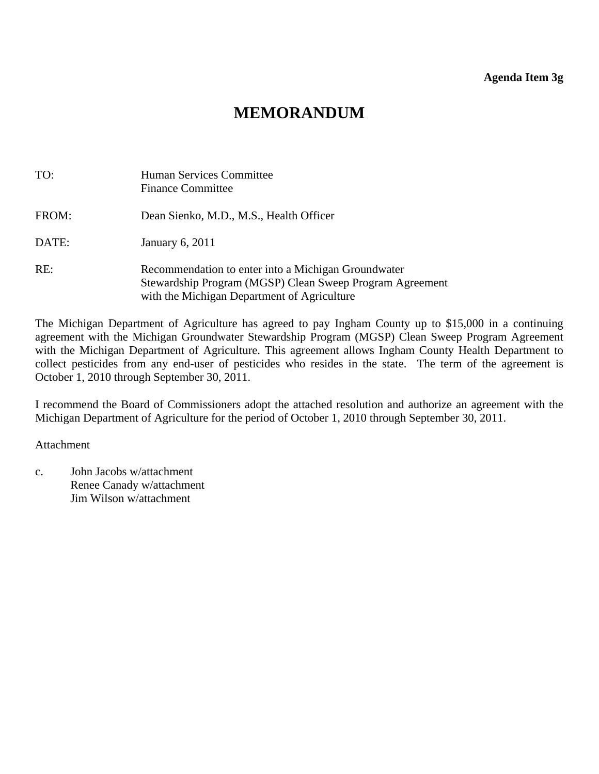| TO:   | <b>Human Services Committee</b><br><b>Finance Committee</b>                                                                                                    |
|-------|----------------------------------------------------------------------------------------------------------------------------------------------------------------|
| FROM: | Dean Sienko, M.D., M.S., Health Officer                                                                                                                        |
| DATE: | January 6, 2011                                                                                                                                                |
| RE:   | Recommendation to enter into a Michigan Groundwater<br>Stewardship Program (MGSP) Clean Sweep Program Agreement<br>with the Michigan Department of Agriculture |

The Michigan Department of Agriculture has agreed to pay Ingham County up to \$15,000 in a continuing agreement with the Michigan Groundwater Stewardship Program (MGSP) Clean Sweep Program Agreement with the Michigan Department of Agriculture. This agreement allows Ingham County Health Department to collect pesticides from any end-user of pesticides who resides in the state. The term of the agreement is October 1, 2010 through September 30, 2011.

I recommend the Board of Commissioners adopt the attached resolution and authorize an agreement with the Michigan Department of Agriculture for the period of October 1, 2010 through September 30, 2011.

Attachment

c. John Jacobs w/attachment Renee Canady w/attachment Jim Wilson w/attachment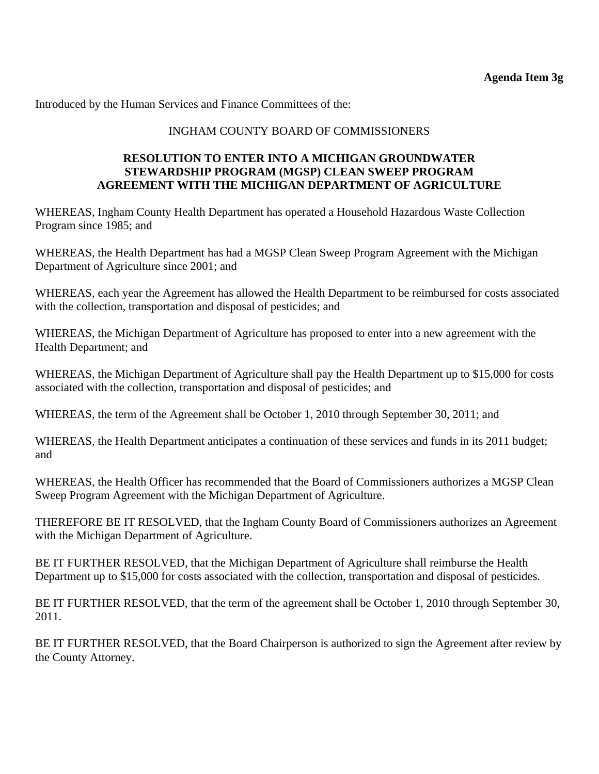# INGHAM COUNTY BOARD OF COMMISSIONERS

## **RESOLUTION TO ENTER INTO A MICHIGAN GROUNDWATER STEWARDSHIP PROGRAM (MGSP) CLEAN SWEEP PROGRAM AGREEMENT WITH THE MICHIGAN DEPARTMENT OF AGRICULTURE**

WHEREAS, Ingham County Health Department has operated a Household Hazardous Waste Collection Program since 1985; and

WHEREAS, the Health Department has had a MGSP Clean Sweep Program Agreement with the Michigan Department of Agriculture since 2001; and

WHEREAS, each year the Agreement has allowed the Health Department to be reimbursed for costs associated with the collection, transportation and disposal of pesticides; and

WHEREAS, the Michigan Department of Agriculture has proposed to enter into a new agreement with the Health Department; and

WHEREAS, the Michigan Department of Agriculture shall pay the Health Department up to \$15,000 for costs associated with the collection, transportation and disposal of pesticides; and

WHEREAS, the term of the Agreement shall be October 1, 2010 through September 30, 2011; and

WHEREAS, the Health Department anticipates a continuation of these services and funds in its 2011 budget; and

WHEREAS, the Health Officer has recommended that the Board of Commissioners authorizes a MGSP Clean Sweep Program Agreement with the Michigan Department of Agriculture.

THEREFORE BE IT RESOLVED, that the Ingham County Board of Commissioners authorizes an Agreement with the Michigan Department of Agriculture.

BE IT FURTHER RESOLVED, that the Michigan Department of Agriculture shall reimburse the Health Department up to \$15,000 for costs associated with the collection, transportation and disposal of pesticides.

BE IT FURTHER RESOLVED, that the term of the agreement shall be October 1, 2010 through September 30, 2011.

BE IT FURTHER RESOLVED, that the Board Chairperson is authorized to sign the Agreement after review by the County Attorney.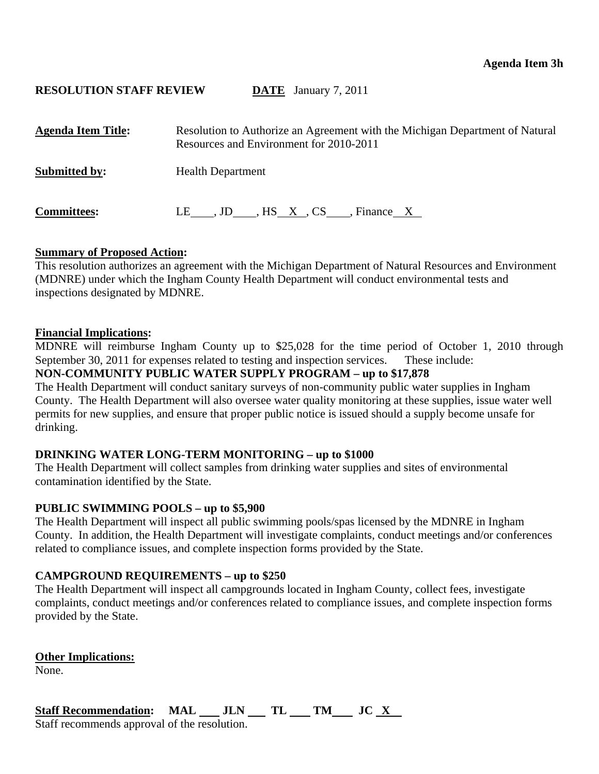<span id="page-27-0"></span>

| <b>Agenda Item Title:</b> | Resolution to Authorize an Agreement with the Michigan Department of Natural<br>Resources and Environment for 2010-2011 |
|---------------------------|-------------------------------------------------------------------------------------------------------------------------|
| <b>Submitted by:</b>      | <b>Health Department</b>                                                                                                |
| <b>Committees:</b>        | LE , JD , HS X, CS , Finance X                                                                                          |

## **Summary of Proposed Action:**

This resolution authorizes an agreement with the Michigan Department of Natural Resources and Environment (MDNRE) under which the Ingham County Health Department will conduct environmental tests and inspections designated by MDNRE.

### **Financial Implications:**

MDNRE will reimburse Ingham County up to \$25,028 for the time period of October 1, 2010 through September 30, 2011 for expenses related to testing and inspection services. These include:

# **NON-COMMUNITY PUBLIC WATER SUPPLY PROGRAM – up to \$17,878**

The Health Department will conduct sanitary surveys of non-community public water supplies in Ingham County. The Health Department will also oversee water quality monitoring at these supplies, issue water well permits for new supplies, and ensure that proper public notice is issued should a supply become unsafe for drinking.

## **DRINKING WATER LONG-TERM MONITORING – up to \$1000**

The Health Department will collect samples from drinking water supplies and sites of environmental contamination identified by the State.

## **PUBLIC SWIMMING POOLS – up to \$5,900**

The Health Department will inspect all public swimming pools/spas licensed by the MDNRE in Ingham County. In addition, the Health Department will investigate complaints, conduct meetings and/or conferences related to compliance issues, and complete inspection forms provided by the State.

# **CAMPGROUND REQUIREMENTS – up to \$250**

The Health Department will inspect all campgrounds located in Ingham County, collect fees, investigate complaints, conduct meetings and/or conferences related to compliance issues, and complete inspection forms provided by the State.

**Other Implications:** None.

Staff Recommendation: MAL JLN TL TM JC X Staff recommends approval of the resolution.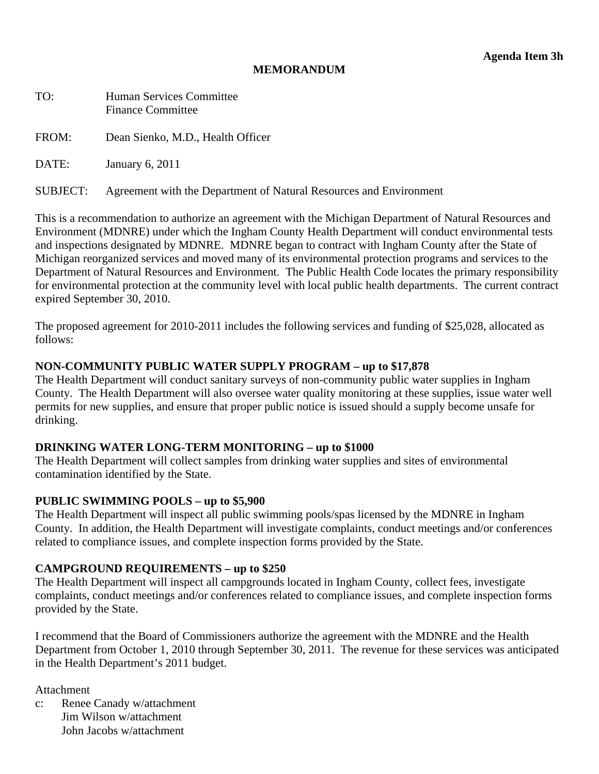| TO:      | <b>Human Services Committee</b><br><b>Finance Committee</b>        |
|----------|--------------------------------------------------------------------|
| FROM:    | Dean Sienko, M.D., Health Officer                                  |
| DATE:    | January 6, 2011                                                    |
| SUBJECT: | Agreement with the Department of Natural Resources and Environment |

This is a recommendation to authorize an agreement with the Michigan Department of Natural Resources and Environment (MDNRE) under which the Ingham County Health Department will conduct environmental tests and inspections designated by MDNRE. MDNRE began to contract with Ingham County after the State of Michigan reorganized services and moved many of its environmental protection programs and services to the Department of Natural Resources and Environment. The Public Health Code locates the primary responsibility for environmental protection at the community level with local public health departments. The current contract expired September 30, 2010.

The proposed agreement for 2010-2011 includes the following services and funding of \$25,028, allocated as follows:

## **NON-COMMUNITY PUBLIC WATER SUPPLY PROGRAM – up to \$17,878**

The Health Department will conduct sanitary surveys of non-community public water supplies in Ingham County. The Health Department will also oversee water quality monitoring at these supplies, issue water well permits for new supplies, and ensure that proper public notice is issued should a supply become unsafe for drinking.

### **DRINKING WATER LONG-TERM MONITORING – up to \$1000**

The Health Department will collect samples from drinking water supplies and sites of environmental contamination identified by the State.

### **PUBLIC SWIMMING POOLS – up to \$5,900**

The Health Department will inspect all public swimming pools/spas licensed by the MDNRE in Ingham County. In addition, the Health Department will investigate complaints, conduct meetings and/or conferences related to compliance issues, and complete inspection forms provided by the State.

### **CAMPGROUND REQUIREMENTS – up to \$250**

The Health Department will inspect all campgrounds located in Ingham County, collect fees, investigate complaints, conduct meetings and/or conferences related to compliance issues, and complete inspection forms provided by the State.

I recommend that the Board of Commissioners authorize the agreement with the MDNRE and the Health Department from October 1, 2010 through September 30, 2011. The revenue for these services was anticipated in the Health Department's 2011 budget.

Attachment

c: Renee Canady w/attachment Jim Wilson w/attachment John Jacobs w/attachment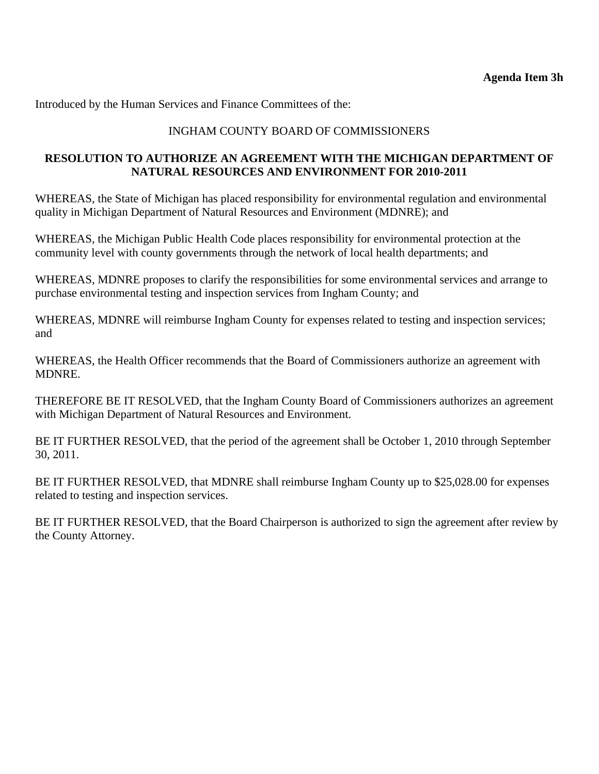# INGHAM COUNTY BOARD OF COMMISSIONERS

# **RESOLUTION TO AUTHORIZE AN AGREEMENT WITH THE MICHIGAN DEPARTMENT OF NATURAL RESOURCES AND ENVIRONMENT FOR 2010-2011**

WHEREAS, the State of Michigan has placed responsibility for environmental regulation and environmental quality in Michigan Department of Natural Resources and Environment (MDNRE); and

WHEREAS, the Michigan Public Health Code places responsibility for environmental protection at the community level with county governments through the network of local health departments; and

WHEREAS, MDNRE proposes to clarify the responsibilities for some environmental services and arrange to purchase environmental testing and inspection services from Ingham County; and

WHEREAS, MDNRE will reimburse Ingham County for expenses related to testing and inspection services; and

WHEREAS, the Health Officer recommends that the Board of Commissioners authorize an agreement with MDNRE.

THEREFORE BE IT RESOLVED, that the Ingham County Board of Commissioners authorizes an agreement with Michigan Department of Natural Resources and Environment.

BE IT FURTHER RESOLVED, that the period of the agreement shall be October 1, 2010 through September 30, 2011.

BE IT FURTHER RESOLVED, that MDNRE shall reimburse Ingham County up to \$25,028.00 for expenses related to testing and inspection services.

BE IT FURTHER RESOLVED, that the Board Chairperson is authorized to sign the agreement after review by the County Attorney.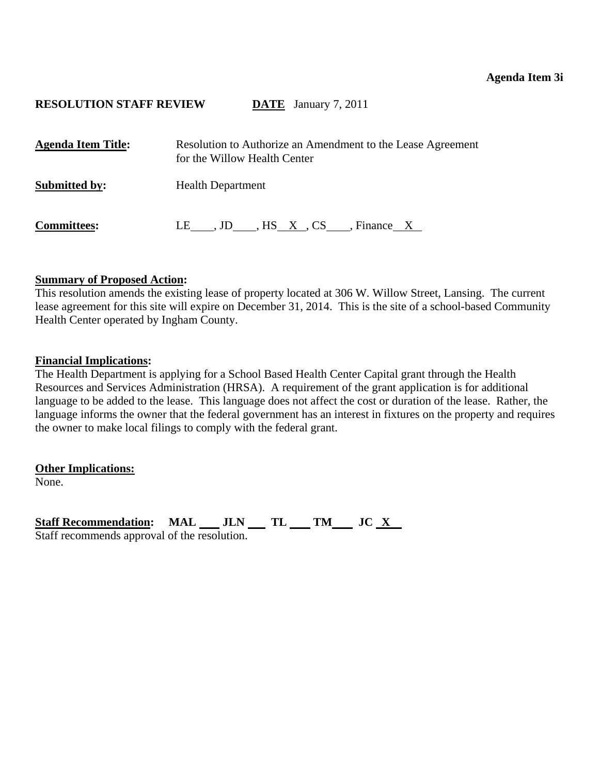<span id="page-30-0"></span>

| <b>Agenda Item Title:</b> | Resolution to Authorize an Amendment to the Lease Agreement<br>for the Willow Health Center |
|---------------------------|---------------------------------------------------------------------------------------------|
| <b>Submitted by:</b>      | <b>Health Department</b>                                                                    |
| <b>Committees:</b>        | LE , JD , HS X, CS , Finance X                                                              |

## **Summary of Proposed Action:**

This resolution amends the existing lease of property located at 306 W. Willow Street, Lansing. The current lease agreement for this site will expire on December 31, 2014. This is the site of a school-based Community Health Center operated by Ingham County.

### **Financial Implications:**

The Health Department is applying for a School Based Health Center Capital grant through the Health Resources and Services Administration (HRSA). A requirement of the grant application is for additional language to be added to the lease. This language does not affect the cost or duration of the lease. Rather, the language informs the owner that the federal government has an interest in fixtures on the property and requires the owner to make local filings to comply with the federal grant.

**Other Implications:**

None.

Staff Recommendation: MAL JLN TL TM JC X Staff recommends approval of the resolution.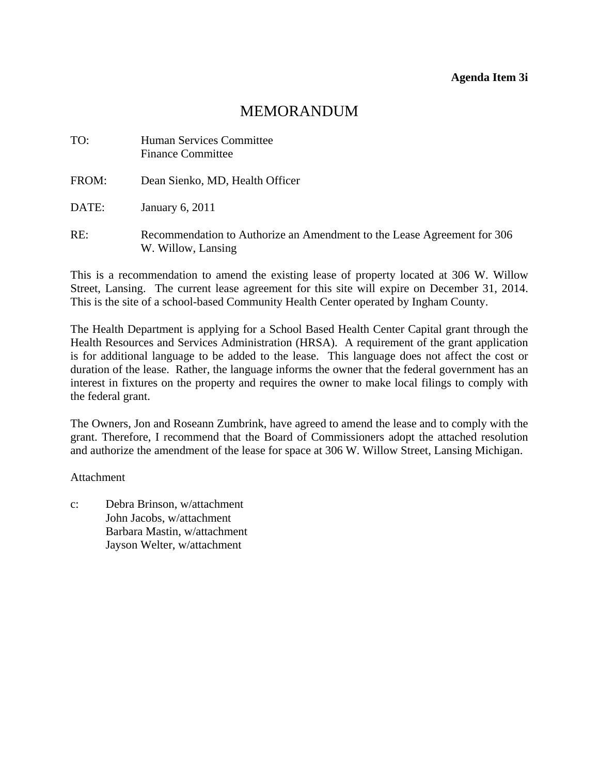| TO:   | <b>Human Services Committee</b><br><b>Finance Committee</b>                                   |
|-------|-----------------------------------------------------------------------------------------------|
| FROM: | Dean Sienko, MD, Health Officer                                                               |
| DATE: | January 6, 2011                                                                               |
| RE:   | Recommendation to Authorize an Amendment to the Lease Agreement for 306<br>W. Willow, Lansing |

This is a recommendation to amend the existing lease of property located at 306 W. Willow Street, Lansing. The current lease agreement for this site will expire on December 31, 2014. This is the site of a school-based Community Health Center operated by Ingham County.

The Health Department is applying for a School Based Health Center Capital grant through the Health Resources and Services Administration (HRSA). A requirement of the grant application is for additional language to be added to the lease. This language does not affect the cost or duration of the lease. Rather, the language informs the owner that the federal government has an interest in fixtures on the property and requires the owner to make local filings to comply with the federal grant.

The Owners, Jon and Roseann Zumbrink, have agreed to amend the lease and to comply with the grant. Therefore, I recommend that the Board of Commissioners adopt the attached resolution and authorize the amendment of the lease for space at 306 W. Willow Street, Lansing Michigan.

Attachment

c: Debra Brinson, w/attachment John Jacobs, w/attachment Barbara Mastin, w/attachment Jayson Welter, w/attachment